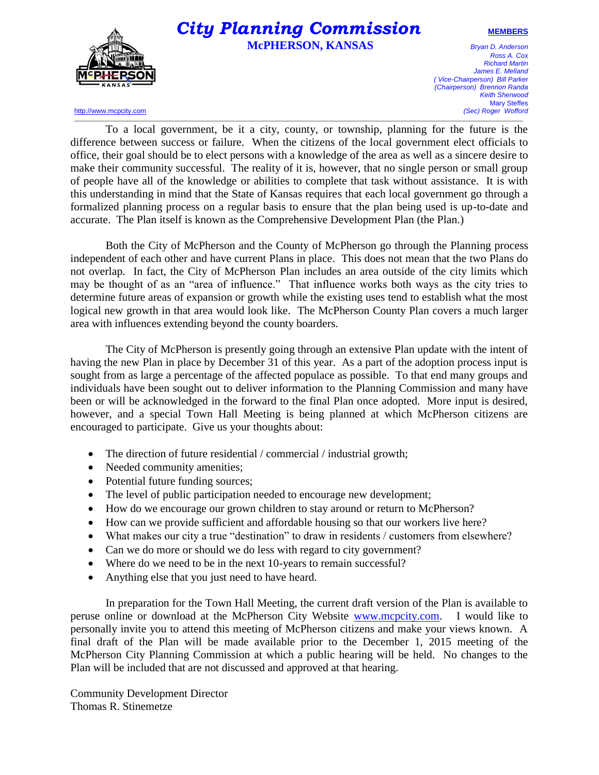

## $\bm{City}$  **Planning Commission MEMBERS McPHERSON, KANSAS** *Bryan D. Anderson*

*Ross A. Cox Richard Martin James E. Melland ( Vice-Chairperson) Bill Parker (Chairperson) Brennon Randa Keith Sherwood* Mary Steffes<br>(Sec) Roger Wofford

http://www.mcpcity.com

To a local government, be it a city, county, or township, planning for the future is the difference between success or failure. When the citizens of the local government elect officials to office, their goal should be to elect persons with a knowledge of the area as well as a sincere desire to make their community successful. The reality of it is, however, that no single person or small group of people have all of the knowledge or abilities to complete that task without assistance. It is with this understanding in mind that the State of Kansas requires that each local government go through a formalized planning process on a regular basis to ensure that the plan being used is up-to-date and accurate. The Plan itself is known as the Comprehensive Development Plan (the Plan.)

Both the City of McPherson and the County of McPherson go through the Planning process independent of each other and have current Plans in place. This does not mean that the two Plans do not overlap. In fact, the City of McPherson Plan includes an area outside of the city limits which may be thought of as an "area of influence." That influence works both ways as the city tries to determine future areas of expansion or growth while the existing uses tend to establish what the most logical new growth in that area would look like. The McPherson County Plan covers a much larger area with influences extending beyond the county boarders.

The City of McPherson is presently going through an extensive Plan update with the intent of having the new Plan in place by December 31 of this year. As a part of the adoption process input is sought from as large a percentage of the affected populace as possible. To that end many groups and individuals have been sought out to deliver information to the Planning Commission and many have been or will be acknowledged in the forward to the final Plan once adopted. More input is desired, however, and a special Town Hall Meeting is being planned at which McPherson citizens are encouraged to participate. Give us your thoughts about:

- The direction of future residential / commercial / industrial growth;
- Needed community amenities;
- Potential future funding sources;
- The level of public participation needed to encourage new development;
- How do we encourage our grown children to stay around or return to McPherson?
- How can we provide sufficient and affordable housing so that our workers live here?
- What makes our city a true "destination" to draw in residents / customers from elsewhere?
- Can we do more or should we do less with regard to city government?
- Where do we need to be in the next 10-years to remain successful?
- Anything else that you just need to have heard.

In preparation for the Town Hall Meeting, the current draft version of the Plan is available to peruse online or download at the McPherson City Website [www.mcpcity.com.](http://www.mcpcity.com/) I would like to personally invite you to attend this meeting of McPherson citizens and make your views known. A final draft of the Plan will be made available prior to the December 1, 2015 meeting of the McPherson City Planning Commission at which a public hearing will be held. No changes to the Plan will be included that are not discussed and approved at that hearing.

Community Development Director Thomas R. Stinemetze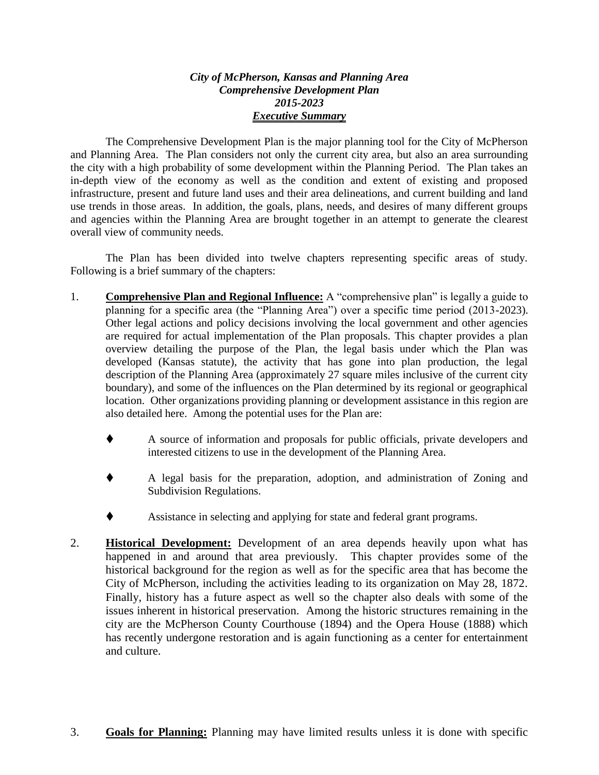## *City of McPherson, Kansas and Planning Area Comprehensive Development Plan 2015-2023 Executive Summary*

The Comprehensive Development Plan is the major planning tool for the City of McPherson and Planning Area. The Plan considers not only the current city area, but also an area surrounding the city with a high probability of some development within the Planning Period. The Plan takes an in-depth view of the economy as well as the condition and extent of existing and proposed infrastructure, present and future land uses and their area delineations, and current building and land use trends in those areas. In addition, the goals, plans, needs, and desires of many different groups and agencies within the Planning Area are brought together in an attempt to generate the clearest overall view of community needs.

The Plan has been divided into twelve chapters representing specific areas of study. Following is a brief summary of the chapters:

- 1. **Comprehensive Plan and Regional Influence:** A "comprehensive plan" is legally a guide to planning for a specific area (the "Planning Area") over a specific time period (2013-2023). Other legal actions and policy decisions involving the local government and other agencies are required for actual implementation of the Plan proposals. This chapter provides a plan overview detailing the purpose of the Plan, the legal basis under which the Plan was developed (Kansas statute), the activity that has gone into plan production, the legal description of the Planning Area (approximately 27 square miles inclusive of the current city boundary), and some of the influences on the Plan determined by its regional or geographical location. Other organizations providing planning or development assistance in this region are also detailed here. Among the potential uses for the Plan are:
	- A source of information and proposals for public officials, private developers and interested citizens to use in the development of the Planning Area.
	- A legal basis for the preparation, adoption, and administration of Zoning and Subdivision Regulations.
	- Assistance in selecting and applying for state and federal grant programs.
- 2. **Historical Development:** Development of an area depends heavily upon what has happened in and around that area previously. This chapter provides some of the historical background for the region as well as for the specific area that has become the City of McPherson, including the activities leading to its organization on May 28, 1872. Finally, history has a future aspect as well so the chapter also deals with some of the issues inherent in historical preservation. Among the historic structures remaining in the city are the McPherson County Courthouse (1894) and the Opera House (1888) which has recently undergone restoration and is again functioning as a center for entertainment and culture.
- 3. **Goals for Planning:** Planning may have limited results unless it is done with specific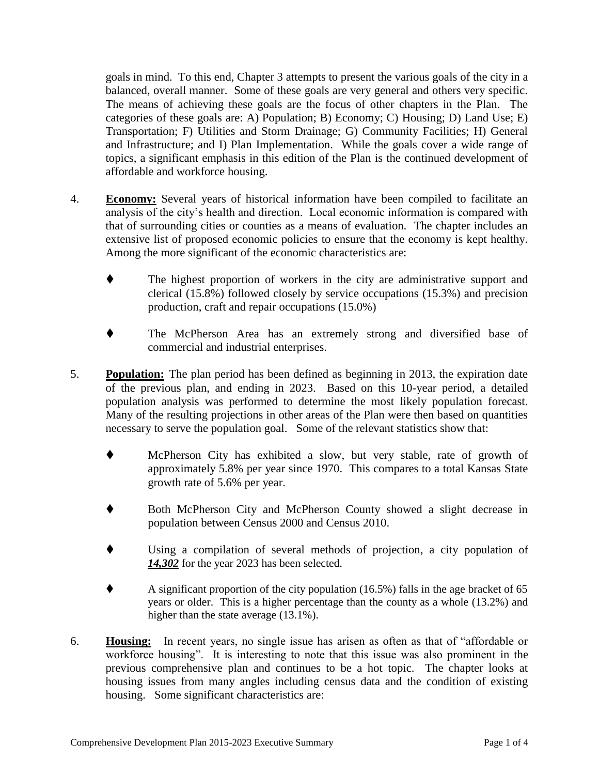goals in mind. To this end, Chapter 3 attempts to present the various goals of the city in a balanced, overall manner. Some of these goals are very general and others very specific. The means of achieving these goals are the focus of other chapters in the Plan. The categories of these goals are: A) Population; B) Economy; C) Housing; D) Land Use; E) Transportation; F) Utilities and Storm Drainage; G) Community Facilities; H) General and Infrastructure; and I) Plan Implementation. While the goals cover a wide range of topics, a significant emphasis in this edition of the Plan is the continued development of affordable and workforce housing.

- 4. **Economy:** Several years of historical information have been compiled to facilitate an analysis of the city's health and direction. Local economic information is compared with that of surrounding cities or counties as a means of evaluation. The chapter includes an extensive list of proposed economic policies to ensure that the economy is kept healthy. Among the more significant of the economic characteristics are:
	- The highest proportion of workers in the city are administrative support and clerical (15.8%) followed closely by service occupations (15.3%) and precision production, craft and repair occupations (15.0%)
	- The McPherson Area has an extremely strong and diversified base of commercial and industrial enterprises.
- 5. **Population:** The plan period has been defined as beginning in 2013, the expiration date of the previous plan, and ending in 2023. Based on this 10-year period, a detailed population analysis was performed to determine the most likely population forecast. Many of the resulting projections in other areas of the Plan were then based on quantities necessary to serve the population goal. Some of the relevant statistics show that:
	- McPherson City has exhibited a slow, but very stable, rate of growth of approximately 5.8% per year since 1970. This compares to a total Kansas State growth rate of 5.6% per year.
	- Both McPherson City and McPherson County showed a slight decrease in population between Census 2000 and Census 2010.
	- Using a compilation of several methods of projection, a city population of *14,302* for the year 2023 has been selected.
	- A significant proportion of the city population (16.5%) falls in the age bracket of 65 years or older. This is a higher percentage than the county as a whole (13.2%) and higher than the state average (13.1%).
- 6. **Housing:** In recent years, no single issue has arisen as often as that of "affordable or workforce housing". It is interesting to note that this issue was also prominent in the previous comprehensive plan and continues to be a hot topic. The chapter looks at housing issues from many angles including census data and the condition of existing housing. Some significant characteristics are: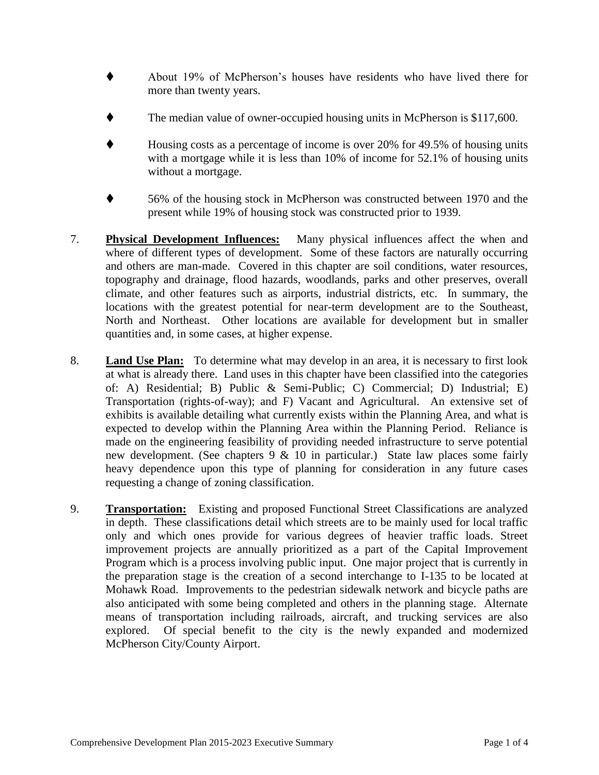- About 19% of McPherson's houses have residents who have lived there for more than twenty years.
- The median value of owner-occupied housing units in McPherson is \$117,600.
- Housing costs as a percentage of income is over 20% for 49.5% of housing units with a mortgage while it is less than 10% of income for 52.1% of housing units without a mortgage.
- 56% of the housing stock in McPherson was constructed between 1970 and the present while 19% of housing stock was constructed prior to 1939.
- 7. **Physical Development Influences:** Many physical influences affect the when and where of different types of development. Some of these factors are naturally occurring and others are man-made. Covered in this chapter are soil conditions, water resources, topography and drainage, flood hazards, woodlands, parks and other preserves, overall climate, and other features such as airports, industrial districts, etc. In summary, the locations with the greatest potential for near-term development are to the Southeast, North and Northeast. Other locations are available for development but in smaller quantities and, in some cases, at higher expense.
- 8. **Land Use Plan:** To determine what may develop in an area, it is necessary to first look at what is already there. Land uses in this chapter have been classified into the categories of: A) Residential; B) Public & Semi-Public; C) Commercial; D) Industrial; E) Transportation (rights-of-way); and F) Vacant and Agricultural. An extensive set of exhibits is available detailing what currently exists within the Planning Area, and what is expected to develop within the Planning Area within the Planning Period. Reliance is made on the engineering feasibility of providing needed infrastructure to serve potential new development. (See chapters 9 & 10 in particular.) State law places some fairly heavy dependence upon this type of planning for consideration in any future cases requesting a change of zoning classification.
- 9. **Transportation:** Existing and proposed Functional Street Classifications are analyzed in depth. These classifications detail which streets are to be mainly used for local traffic only and which ones provide for various degrees of heavier traffic loads. Street improvement projects are annually prioritized as a part of the Capital Improvement Program which is a process involving public input. One major project that is currently in the preparation stage is the creation of a second interchange to I-135 to be located at Mohawk Road. Improvements to the pedestrian sidewalk network and bicycle paths are also anticipated with some being completed and others in the planning stage. Alternate means of transportation including railroads, aircraft, and trucking services are also explored. Of special benefit to the city is the newly expanded and modernized McPherson City/County Airport.